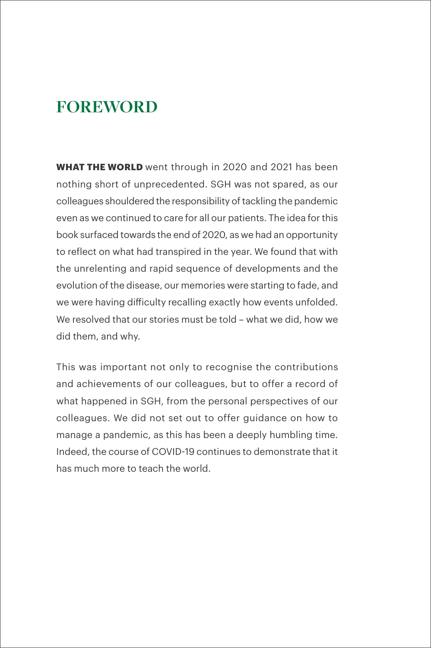## **FOREWORD**

**WHAT THE WORLD** went through in 2020 and 2021 has been nothing short of unprecedented. SGH was not spared, as our colleagues shouldered the responsibility of tackling the pandemic even as we continued to care for all our patients. The idea for this book surfaced towards the end of 2020, as we had an opportunity to reflect on what had transpired in the year. We found that with the unrelenting and rapid sequence of developments and the evolution of the disease, our memories were starting to fade, and we were having difficulty recalling exactly how events unfolded. We resolved that our stories must be told – what we did, how we did them, and why.

This was important not only to recognise the contributions and achievements of our colleagues, but to offer a record of what happened in SGH, from the personal perspectives of our colleagues. We did not set out to offer guidance on how to manage a pandemic, as this has been a deeply humbling time. Indeed, the course of COVID-19 continues to demonstrate that it has much more to teach the world.